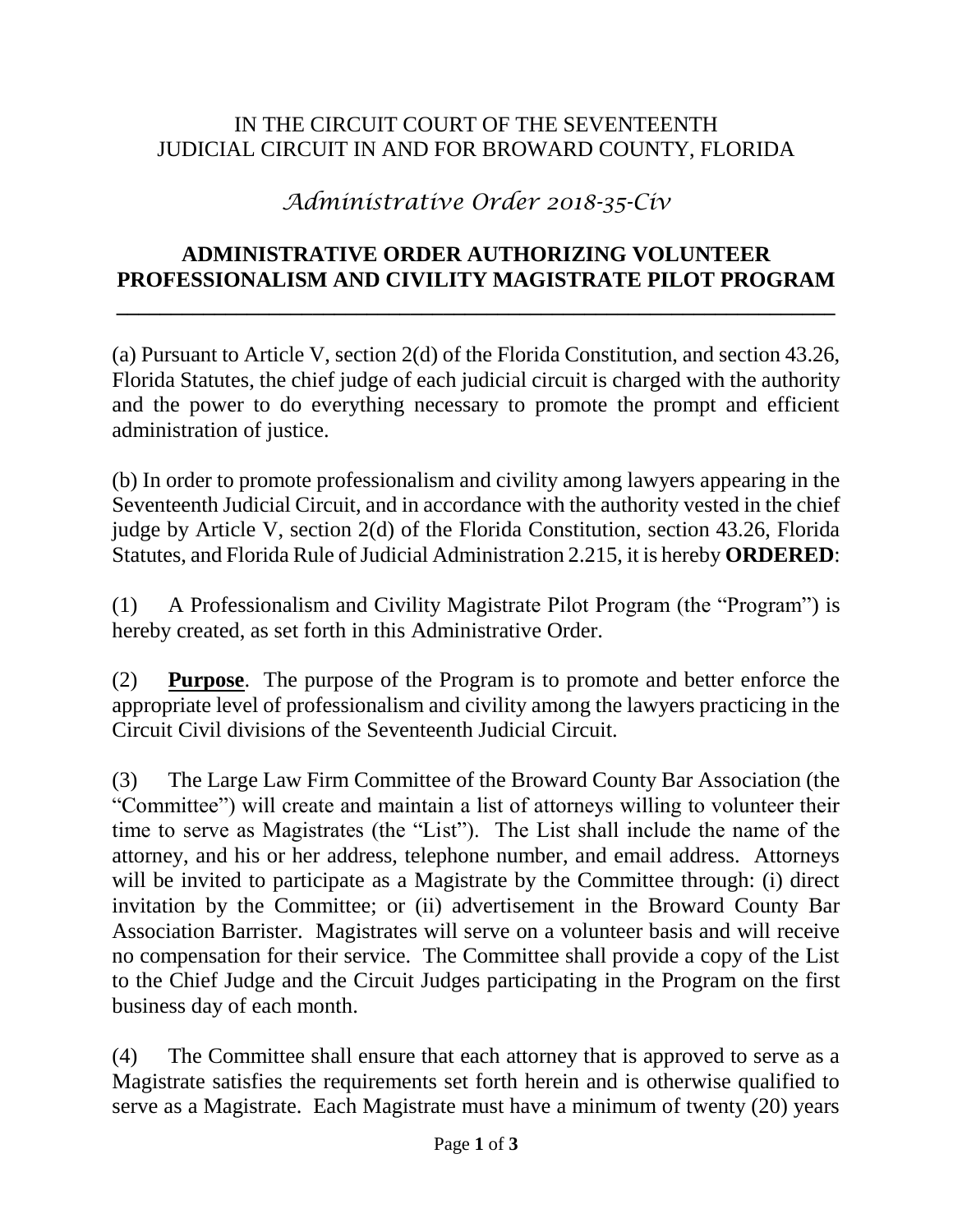## IN THE CIRCUIT COURT OF THE SEVENTEENTH JUDICIAL CIRCUIT IN AND FOR BROWARD COUNTY, FLORIDA

# *Administrative Order 2018-35-Civ*

### **ADMINISTRATIVE ORDER AUTHORIZING VOLUNTEER PROFESSIONALISM AND CIVILITY MAGISTRATE PILOT PROGRAM**

**\_\_\_\_\_\_\_\_\_\_\_\_\_\_\_\_\_\_\_\_\_\_\_\_\_\_\_\_\_\_\_\_\_\_\_\_\_\_\_\_\_\_\_\_\_\_\_\_\_\_\_\_\_\_\_\_\_\_\_\_\_\_\_\_\_\_**

(a) Pursuant to Article V, section 2(d) of the Florida Constitution, and section 43.26, Florida Statutes, the chief judge of each judicial circuit is charged with the authority and the power to do everything necessary to promote the prompt and efficient administration of justice.

(b) In order to promote professionalism and civility among lawyers appearing in the Seventeenth Judicial Circuit, and in accordance with the authority vested in the chief judge by Article V, section 2(d) of the Florida Constitution, section 43.26, Florida Statutes, and Florida Rule of Judicial Administration 2.215, it is hereby **ORDERED**:

(1) A Professionalism and Civility Magistrate Pilot Program (the "Program") is hereby created, as set forth in this Administrative Order.

(2) **Purpose**. The purpose of the Program is to promote and better enforce the appropriate level of professionalism and civility among the lawyers practicing in the Circuit Civil divisions of the Seventeenth Judicial Circuit.

(3) The Large Law Firm Committee of the Broward County Bar Association (the "Committee") will create and maintain a list of attorneys willing to volunteer their time to serve as Magistrates (the "List"). The List shall include the name of the attorney, and his or her address, telephone number, and email address. Attorneys will be invited to participate as a Magistrate by the Committee through: (i) direct invitation by the Committee; or (ii) advertisement in the Broward County Bar Association Barrister. Magistrates will serve on a volunteer basis and will receive no compensation for their service. The Committee shall provide a copy of the List to the Chief Judge and the Circuit Judges participating in the Program on the first business day of each month.

(4) The Committee shall ensure that each attorney that is approved to serve as a Magistrate satisfies the requirements set forth herein and is otherwise qualified to serve as a Magistrate. Each Magistrate must have a minimum of twenty (20) years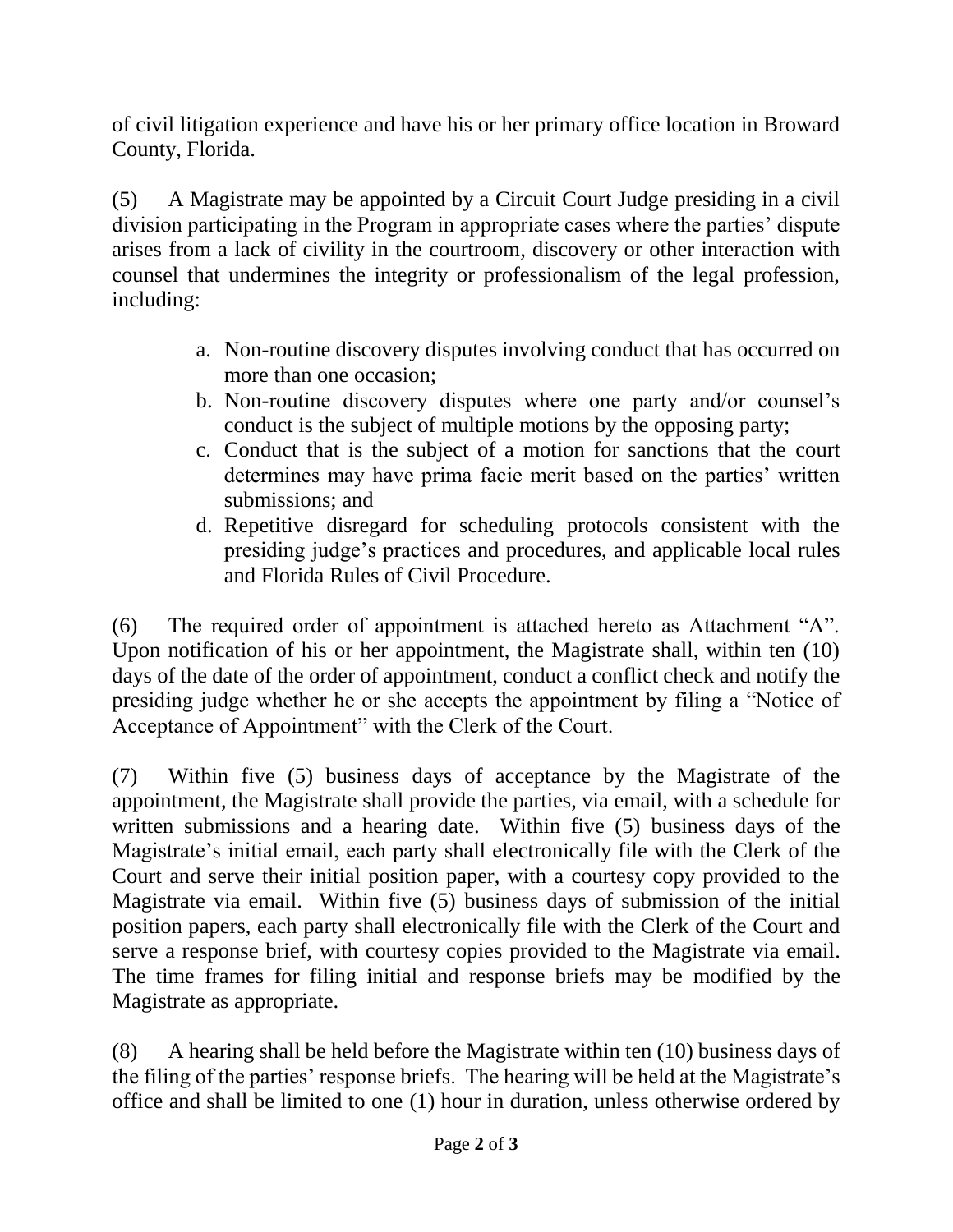of civil litigation experience and have his or her primary office location in Broward County, Florida.

(5) A Magistrate may be appointed by a Circuit Court Judge presiding in a civil division participating in the Program in appropriate cases where the parties' dispute arises from a lack of civility in the courtroom, discovery or other interaction with counsel that undermines the integrity or professionalism of the legal profession, including:

- a. Non-routine discovery disputes involving conduct that has occurred on more than one occasion;
- b. Non-routine discovery disputes where one party and/or counsel's conduct is the subject of multiple motions by the opposing party;
- c. Conduct that is the subject of a motion for sanctions that the court determines may have prima facie merit based on the parties' written submissions; and
- d. Repetitive disregard for scheduling protocols consistent with the presiding judge's practices and procedures, and applicable local rules and Florida Rules of Civil Procedure.

(6) The required order of appointment is attached hereto as Attachment "A". Upon notification of his or her appointment, the Magistrate shall, within ten (10) days of the date of the order of appointment, conduct a conflict check and notify the presiding judge whether he or she accepts the appointment by filing a "Notice of Acceptance of Appointment" with the Clerk of the Court.

(7) Within five (5) business days of acceptance by the Magistrate of the appointment, the Magistrate shall provide the parties, via email, with a schedule for written submissions and a hearing date. Within five (5) business days of the Magistrate's initial email, each party shall electronically file with the Clerk of the Court and serve their initial position paper, with a courtesy copy provided to the Magistrate via email. Within five (5) business days of submission of the initial position papers, each party shall electronically file with the Clerk of the Court and serve a response brief, with courtesy copies provided to the Magistrate via email. The time frames for filing initial and response briefs may be modified by the Magistrate as appropriate.

(8) A hearing shall be held before the Magistrate within ten (10) business days of the filing of the parties' response briefs. The hearing will be held at the Magistrate's office and shall be limited to one (1) hour in duration, unless otherwise ordered by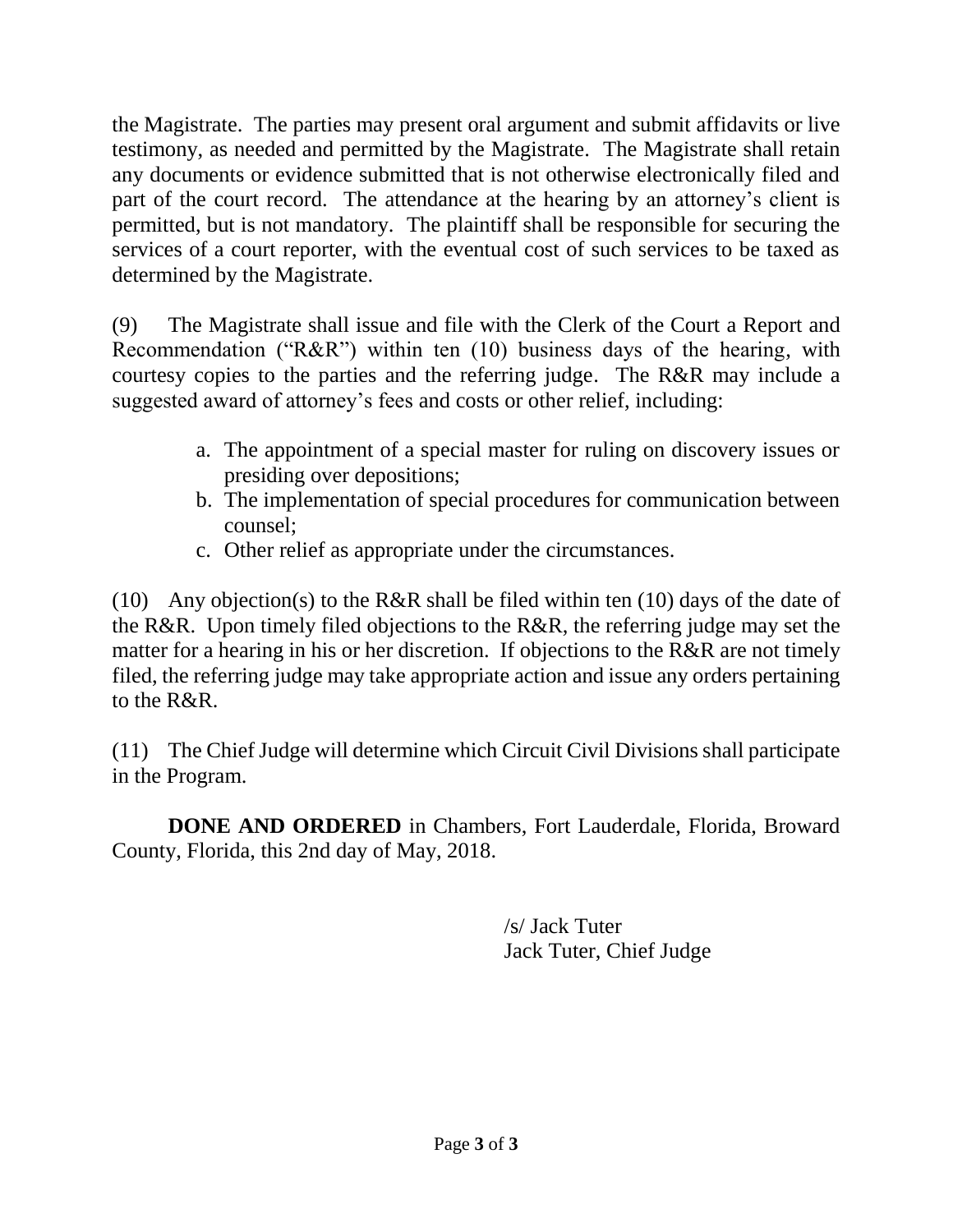the Magistrate. The parties may present oral argument and submit affidavits or live testimony, as needed and permitted by the Magistrate. The Magistrate shall retain any documents or evidence submitted that is not otherwise electronically filed and part of the court record. The attendance at the hearing by an attorney's client is permitted, but is not mandatory. The plaintiff shall be responsible for securing the services of a court reporter, with the eventual cost of such services to be taxed as determined by the Magistrate.

(9) The Magistrate shall issue and file with the Clerk of the Court a Report and Recommendation ("R&R") within ten (10) business days of the hearing, with courtesy copies to the parties and the referring judge. The R&R may include a suggested award of attorney's fees and costs or other relief, including:

- a. The appointment of a special master for ruling on discovery issues or presiding over depositions;
- b. The implementation of special procedures for communication between counsel;
- c. Other relief as appropriate under the circumstances.

(10) Any objection(s) to the R&R shall be filed within ten (10) days of the date of the R&R. Upon timely filed objections to the R&R, the referring judge may set the matter for a hearing in his or her discretion. If objections to the R&R are not timely filed, the referring judge may take appropriate action and issue any orders pertaining to the R&R.

(11) The Chief Judge will determine which Circuit Civil Divisions shall participate in the Program.

**DONE AND ORDERED** in Chambers, Fort Lauderdale, Florida, Broward County, Florida, this 2nd day of May, 2018.

> /s/ Jack Tuter Jack Tuter, Chief Judge